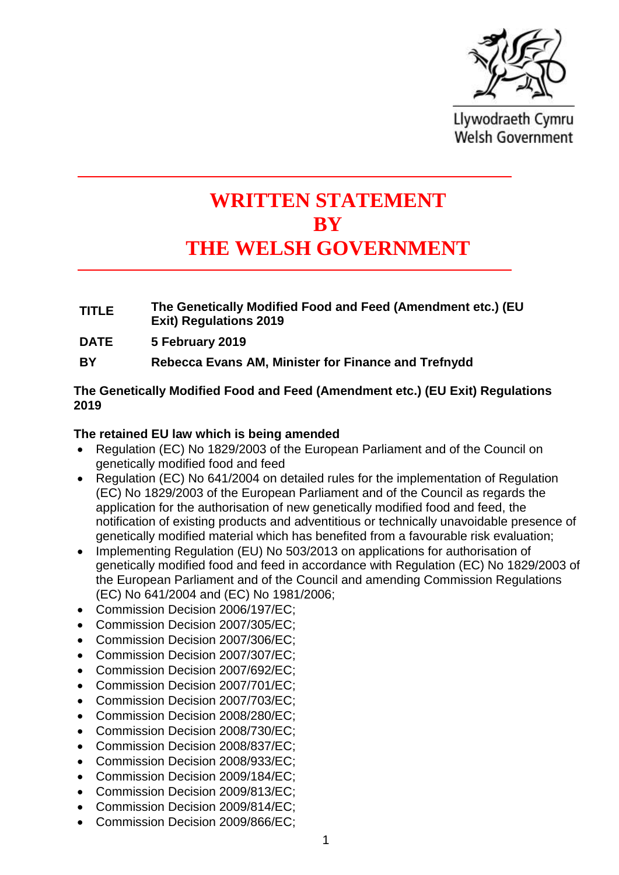

Llywodraeth Cymru **Welsh Government** 

# **WRITTEN STATEMENT BY THE WELSH GOVERNMENT**

- **TITLE The Genetically Modified Food and Feed (Amendment etc.) (EU Exit) Regulations 2019**
- **DATE 5 February 2019**
- **BY Rebecca Evans AM, Minister for Finance and Trefnydd**

## **The Genetically Modified Food and Feed (Amendment etc.) (EU Exit) Regulations 2019**

### **The retained EU law which is being amended**

- Regulation (EC) No 1829/2003 of the European Parliament and of the Council on genetically modified food and feed
- Regulation (EC) No 641/2004 on detailed rules for the implementation of Regulation (EC) No 1829/2003 of the European Parliament and of the Council as regards the application for the authorisation of new genetically modified food and feed, the notification of existing products and adventitious or technically unavoidable presence of genetically modified material which has benefited from a favourable risk evaluation;
- Implementing Regulation (EU) No 503/2013 on applications for authorisation of genetically modified food and feed in accordance with Regulation (EC) No 1829/2003 of the European Parliament and of the Council and amending Commission Regulations (EC) No 641/2004 and (EC) No 1981/2006;
- Commission Decision 2006/197/EC:
- Commission Decision 2007/305/EC:
- Commission Decision 2007/306/EC;
- Commission Decision 2007/307/EC:
- Commission Decision 2007/692/EC:
- Commission Decision 2007/701/EC:
- Commission Decision 2007/703/EC;
- Commission Decision 2008/280/EC;
- Commission Decision 2008/730/EC;
- Commission Decision 2008/837/EC:
- Commission Decision 2008/933/EC:
- Commission Decision 2009/184/EC;
- Commission Decision 2009/813/EC;
- Commission Decision 2009/814/EC;
- Commission Decision 2009/866/EC;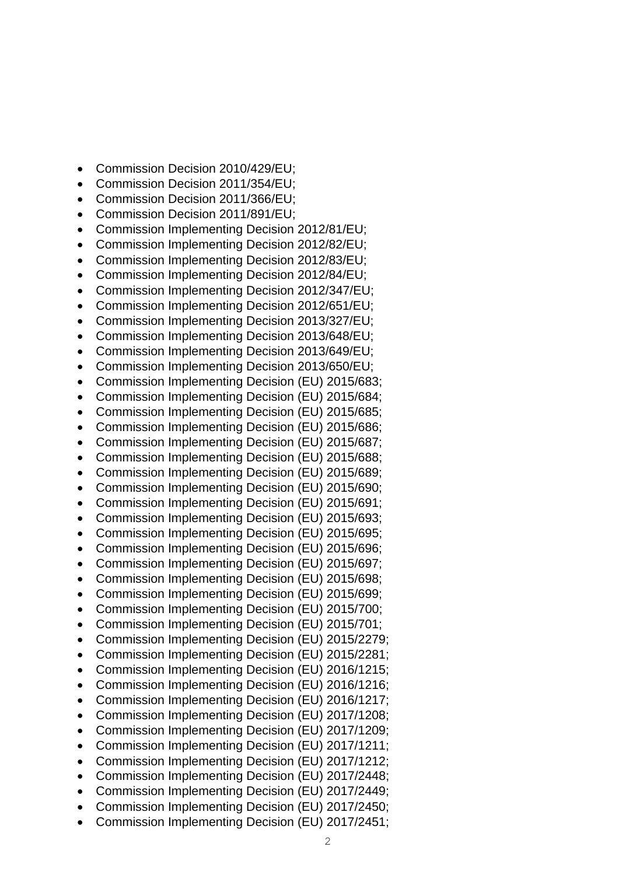- Commission Decision 2010/429/EU:
- Commission Decision 2011/354/EU;
- Commission Decision 2011/366/EU;
- Commission Decision 2011/891/EU;
- Commission Implementing Decision 2012/81/EU;
- Commission Implementing Decision 2012/82/EU;
- Commission Implementing Decision 2012/83/EU;
- Commission Implementing Decision 2012/84/EU;
- Commission Implementing Decision 2012/347/EU;
- Commission Implementing Decision 2012/651/EU;
- Commission Implementing Decision 2013/327/EU;
- Commission Implementing Decision 2013/648/EU;
- Commission Implementing Decision 2013/649/EU;
- Commission Implementing Decision 2013/650/EU;
- Commission Implementing Decision (EU) 2015/683;
- Commission Implementing Decision (EU) 2015/684;
- Commission Implementing Decision (EU) 2015/685;
- Commission Implementing Decision (EU) 2015/686;
- Commission Implementing Decision (EU) 2015/687;
- Commission Implementing Decision (EU) 2015/688;
- Commission Implementing Decision (EU) 2015/689;
- Commission Implementing Decision (EU) 2015/690;
- Commission Implementing Decision (EU) 2015/691;
- Commission Implementing Decision (EU) 2015/693;
- Commission Implementing Decision (EU) 2015/695;
- Commission Implementing Decision (EU) 2015/696;
- Commission Implementing Decision (EU) 2015/697;
- Commission Implementing Decision (EU) 2015/698;
- Commission Implementing Decision (EU) 2015/699;
- Commission Implementing Decision (EU) 2015/700;
- Commission Implementing Decision (EU) 2015/701;
- Commission Implementing Decision (EU) 2015/2279;
- Commission Implementing Decision (EU) 2015/2281;
- Commission Implementing Decision (EU) 2016/1215;
- Commission Implementing Decision (EU) 2016/1216;
- Commission Implementing Decision (EU) 2016/1217;
- Commission Implementing Decision (EU) 2017/1208;
- Commission Implementing Decision (EU) 2017/1209;
- Commission Implementing Decision (EU) 2017/1211:
- Commission Implementing Decision (EU) 2017/1212;
- Commission Implementing Decision (EU) 2017/2448;
- Commission Implementing Decision (EU) 2017/2449;
- Commission Implementing Decision (EU) 2017/2450;
- Commission Implementing Decision (EU) 2017/2451;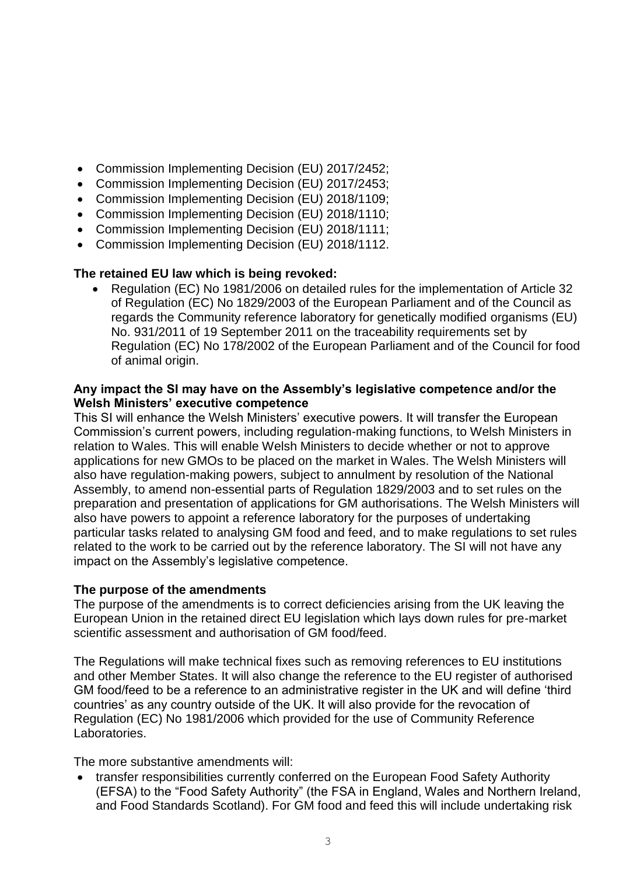- Commission Implementing Decision (EU) 2017/2452;
- Commission Implementing Decision (EU) 2017/2453;
- Commission Implementing Decision (EU) 2018/1109;
- Commission Implementing Decision (EU) 2018/1110;
- Commission Implementing Decision (EU) 2018/1111;
- Commission Implementing Decision (EU) 2018/1112.

## **The retained EU law which is being revoked:**

• Regulation (EC) No 1981/2006 on detailed rules for the implementation of Article 32 of Regulation (EC) No 1829/2003 of the European Parliament and of the Council as regards the Community reference laboratory for genetically modified organisms (EU) No. 931/2011 of 19 September 2011 on the traceability requirements set by Regulation (EC) No 178/2002 of the European Parliament and of the Council for food of animal origin.

## **Any impact the SI may have on the Assembly's legislative competence and/or the Welsh Ministers' executive competence**

This SI will enhance the Welsh Ministers' executive powers. It will transfer the European Commission's current powers, including regulation-making functions, to Welsh Ministers in relation to Wales. This will enable Welsh Ministers to decide whether or not to approve applications for new GMOs to be placed on the market in Wales. The Welsh Ministers will also have regulation-making powers, subject to annulment by resolution of the National Assembly, to amend non-essential parts of Regulation 1829/2003 and to set rules on the preparation and presentation of applications for GM authorisations. The Welsh Ministers will also have powers to appoint a reference laboratory for the purposes of undertaking particular tasks related to analysing GM food and feed, and to make regulations to set rules related to the work to be carried out by the reference laboratory. The SI will not have any impact on the Assembly's legislative competence.

## **The purpose of the amendments**

The purpose of the amendments is to correct deficiencies arising from the UK leaving the European Union in the retained direct EU legislation which lays down rules for pre-market scientific assessment and authorisation of GM food/feed.

The Regulations will make technical fixes such as removing references to EU institutions and other Member States. It will also change the reference to the EU register of authorised GM food/feed to be a reference to an administrative register in the UK and will define 'third countries' as any country outside of the UK. It will also provide for the revocation of Regulation (EC) No 1981/2006 which provided for the use of Community Reference Laboratories.

The more substantive amendments will:

• transfer responsibilities currently conferred on the European Food Safety Authority (EFSA) to the "Food Safety Authority" (the FSA in England, Wales and Northern Ireland, and Food Standards Scotland). For GM food and feed this will include undertaking risk